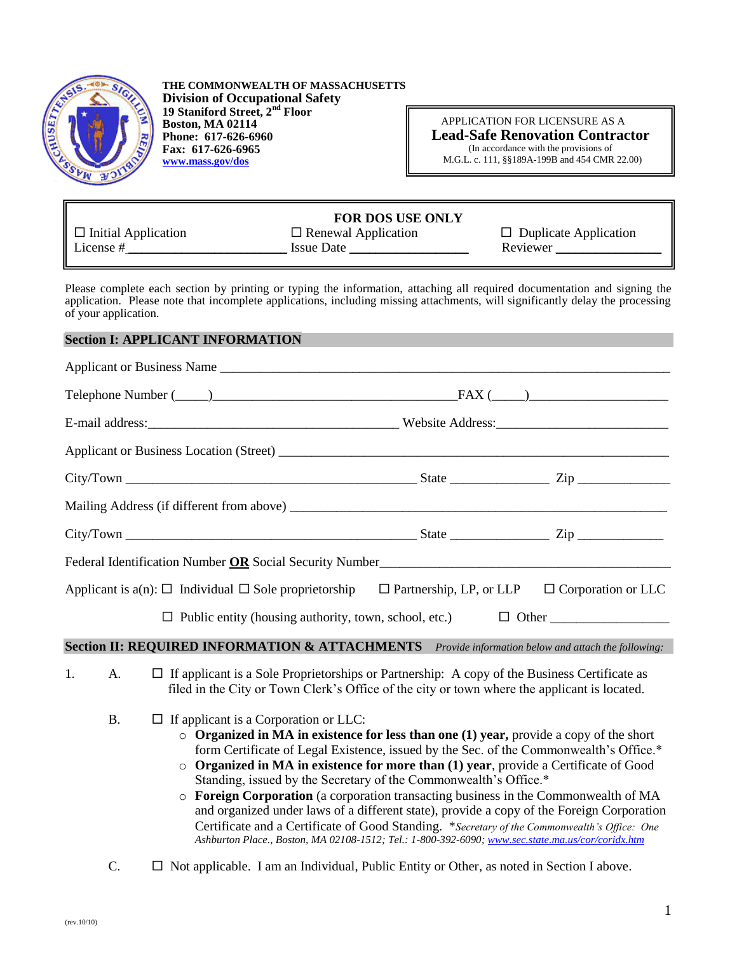

**THE COMMONWEALTH OF MASSACHUSETTS Division of Occupational Safety 19 Staniford Street, 2nd Floor Boston, MA 02114 Phone: 617-626-6960 Fax: 617-626-6965 [www.mass.gov/dos](file:///C:/Documents%20and%20Settings/HRowe/Local%20Settings/Temporary%20Internet%20Files/Local%20Settings/Temporary%20Internet%20Files/Local%20Settings/HRowe/Local%20Settings/Temporary%20Internet%20Files/Content.Outlook/399UB3TJ/www.mass.gov/dos)**

 APPLICATION FOR LICENSURE AS A  **Lead-Safe Renovation Contractor** (In accordance with the provisions of M.G.L. c. 111, §§189A-199B and 454 CMR 22.00)

# **FOR DOS USE ONLY**

 $\square$  Initial Application  $\square$  Renewal Application  $\square$  Duplicate Application License # \_\_\_\_\_\_\_\_\_\_\_\_\_\_\_\_\_\_\_\_\_\_\_\_ Issue Date \_\_\_\_\_\_\_\_\_\_\_\_\_\_\_\_\_\_ Reviewer \_\_\_\_\_\_\_\_\_\_\_\_\_\_\_\_

Please complete each section by printing or typing the information, attaching all required documentation and signing the application. Please note that incomplete applications, including missing attachments, will significantly delay the processing of your application.

## **Section I: APPLICANT INFORMATION**

| Applicant or Business Name                                                                                                                                                                                                          |  |  |  |
|-------------------------------------------------------------------------------------------------------------------------------------------------------------------------------------------------------------------------------------|--|--|--|
|                                                                                                                                                                                                                                     |  |  |  |
|                                                                                                                                                                                                                                     |  |  |  |
|                                                                                                                                                                                                                                     |  |  |  |
|                                                                                                                                                                                                                                     |  |  |  |
|                                                                                                                                                                                                                                     |  |  |  |
|                                                                                                                                                                                                                                     |  |  |  |
| Federal Identification Number OR Social Security Number <u>Communication</u> Control of the Security Number Control of the Security Number Control of the Security Number Control of the Security Number Control of the Security Nu |  |  |  |
| Applicant is $a(n)$ : $\Box$ Individual $\Box$ Sole proprietorship $\Box$ Partnership, LP, or LLP $\Box$ Corporation or LLC                                                                                                         |  |  |  |
|                                                                                                                                                                                                                                     |  |  |  |
| <b>Section II: REQUIRED INFORMATION &amp; ATTACHMENTS</b> Provide information below and attach the following:                                                                                                                       |  |  |  |
| 1.<br>A. $\Box$ If applicant is a Sole Proprietorships or Partnership: A copy of the Business Certificate as<br>filed in the City or Town Clerk's Office of the city or town where the applicant is located.                        |  |  |  |

- $B.$   $\Box$  If applicant is a Corporation or LLC:
	- o **Organized in MA in existence for less than one (1) year,** provide a copy of the short form Certificate of Legal Existence, issued by the Sec. of the Commonwealth's Office.\*
	- o **Organized in MA in existence for more than (1) year**, provide a Certificate of Good Standing, issued by the Secretary of the Commonwealth's Office.\*
	- o **Foreign Corporation** (a corporation transacting business in the Commonwealth of MA and organized under laws of a different state), provide a copy of the Foreign Corporation Certificate and a Certificate of Good Standing. \**Secretary of the Commonwealth's Office: One Ashburton Place., Boston, MA 02108-1512; Tel.: 1-800-392-6090; [www.sec.state.ma.us/cor/coridx.htm](http://www.sec.state.ma.us/cor/coridx.htm)*
- C.  $\Box$  Not applicable. I am an Individual, Public Entity or Other, as noted in Section I above.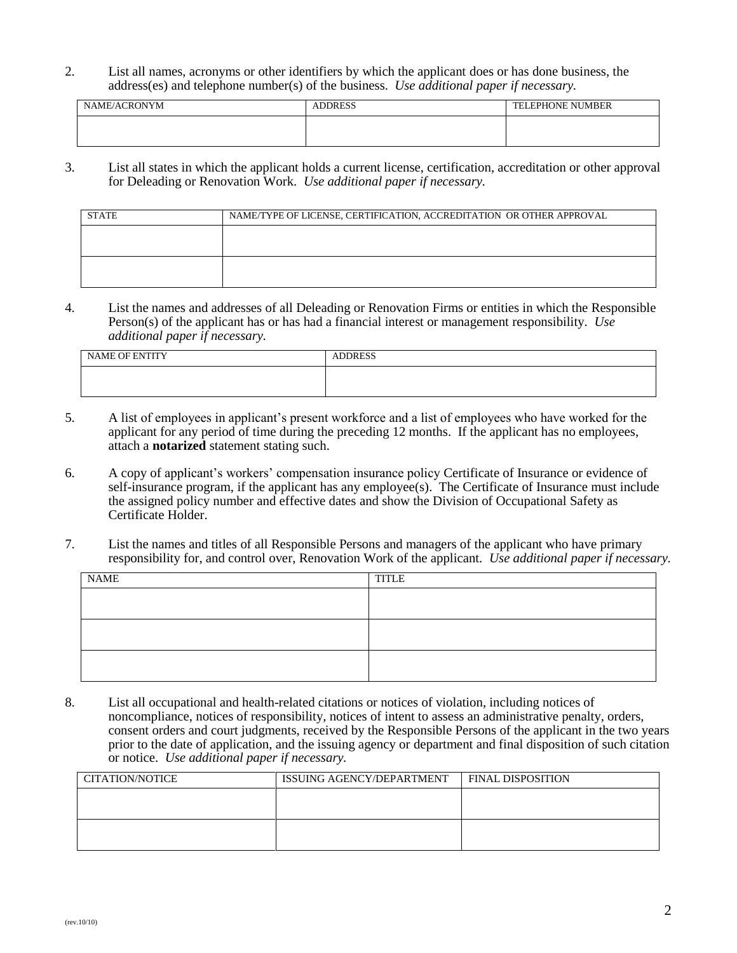2. List all names, acronyms or other identifiers by which the applicant does or has done business, the address(es) and telephone number(s) of the business. *Use additional paper if necessary.*

| NAME/ACRONYM | <b>ADDRESS</b> | <b>TELEPHONE NUMBER</b> |
|--------------|----------------|-------------------------|
|              |                |                         |
|              |                |                         |

3. List all states in which the applicant holds a current license, certification, accreditation or other approval for Deleading or Renovation Work. *Use additional paper if necessary.*

| <b>STATE</b> | NAME/TYPE OF LICENSE, CERTIFICATION, ACCREDITATION OR OTHER APPROVAL |
|--------------|----------------------------------------------------------------------|
|              |                                                                      |
|              |                                                                      |
|              |                                                                      |
|              |                                                                      |

4. List the names and addresses of all Deleading or Renovation Firms or entities in which the Responsible Person(s) of the applicant has or has had a financial interest or management responsibility. *Use additional paper if necessary.*

| NAME OF ENTITY | <b>ADDRESS</b> |
|----------------|----------------|
|                |                |
|                |                |

- 5. A list of employees in applicant's present workforce and a list of employees who have worked for the applicant for any period of time during the preceding 12 months. If the applicant has no employees, attach a **notarized** statement stating such.
- 6. A copy of applicant's workers' compensation insurance policy Certificate of Insurance or evidence of self-insurance program, if the applicant has any employee(s). The Certificate of Insurance must include the assigned policy number and effective dates and show the Division of Occupational Safety as Certificate Holder.
- 7. List the names and titles of all Responsible Persons and managers of the applicant who have primary responsibility for, and control over, Renovation Work of the applicant. *Use additional paper if necessary.*

| <b>NAME</b> | <b>TITLE</b> |
|-------------|--------------|
|             |              |
|             |              |
|             |              |
|             |              |
|             |              |
|             |              |

8. List all occupational and health-related citations or notices of violation, including notices of noncompliance, notices of responsibility, notices of intent to assess an administrative penalty, orders, consent orders and court judgments, received by the Responsible Persons of the applicant in the two years prior to the date of application, and the issuing agency or department and final disposition of such citation or notice. *Use additional paper if necessary.*

| CITATION/NOTICE | ISSUING AGENCY/DEPARTMENT | <b>FINAL DISPOSITION</b> |  |
|-----------------|---------------------------|--------------------------|--|
|                 |                           |                          |  |
|                 |                           |                          |  |
|                 |                           |                          |  |
|                 |                           |                          |  |